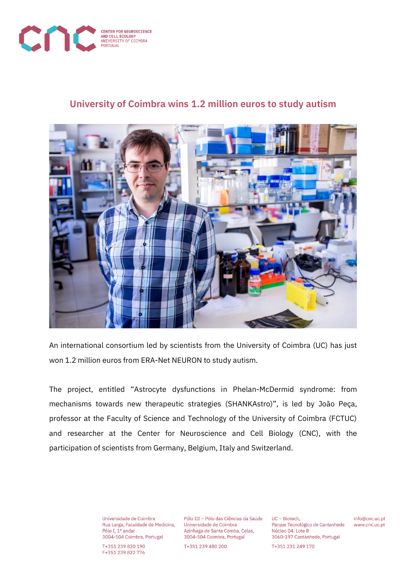

## **University of Coimbra wins 1.2 million euros to study autism**



An international consortium led by scientists from the University of Coimbra (UC) has just won 1.2 million euros from ERA-Net NEURON to study autism.

The project, entitled "Astrocyte dysfunctions in Phelan-McDermid syndrome: from mechanisms towards new therapeutic strategies (SHANKAstro)", is led by João Peça, professor at the Faculty of Science and Technology of the University of Coimbra (FCTUC) and researcher at the Center for Neuroscience and Cell Biology (CNC), with the participation of scientists from Germany, Belgium, Italy and Switzerland.

> Universidade de Coimbra Rua Larga, Faculdade de Medicina, Pólo I. 1º andar 3004-504 Coimbra, Portugal

T+351 239 820 190 F+351 239 822 776

Pólo III - Pólo das Ciências da Saúde Universidade de Coimbra Azinhaga de Santa Comba, Celas, 3004-504 Coimbra, Portugal

T+351 239 480 200

UC - Biotech. Parque Tecnológico de Cantanhede Núcleo 04, Lote 8 3060-197 Cantanhede, Portugal

info@cnc.uc.pt www.cnc.uc.pt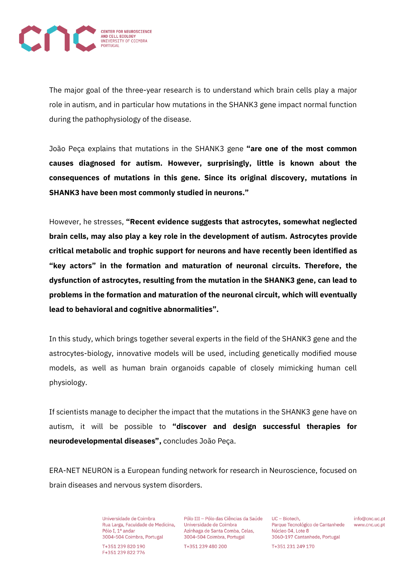

The major goal of the three-year research is to understand which brain cells play a major role in autism, and in particular how mutations in the SHANK3 gene impact normal function during the pathophysiology of the disease.

João Peça explains that mutations in the SHANK3 gene **"are one of the most common causes diagnosed for autism. However, surprisingly, little is known about the consequences of mutations in this gene. Since its original discovery, mutations in SHANK3 have been most commonly studied in neurons."**

However, he stresses, **"Recent evidence suggests that astrocytes, somewhat neglected brain cells, may also play a key role in the development of autism. Astrocytes provide critical metabolic and trophic support for neurons and have recently been identified as "key actors" in the formation and maturation of neuronal circuits. Therefore, the dysfunction of astrocytes, resulting from the mutation in the SHANK3 gene, can lead to problems in the formation and maturation of the neuronal circuit, which will eventually lead to behavioral and cognitive abnormalities".**

In this study, which brings together several experts in the field of the SHANK3 gene and the astrocytes-biology, innovative models will be used, including genetically modified mouse models, as well as human brain organoids capable of closely mimicking human cell physiology.

If scientists manage to decipher the impact that the mutations in the SHANK3 gene have on autism, it will be possible to **"discover and design successful therapies for neurodevelopmental diseases",** concludes João Peça.

ERA-NET NEURON is a European funding network for research in Neuroscience, focused on brain diseases and nervous system disorders.

> Universidade de Coimbra Rua Larga, Faculdade de Medicina, Pólo I. 1º andar 3004-504 Coimbra, Portugal

T+351 239 820 190 F+351 239 822 776

Pólo III - Pólo das Ciências da Saúde Universidade de Coimbra Azinhaga de Santa Comba, Celas, 3004-504 Coimbra, Portugal

T+351 239 480 200

UC - Biotech. Parque Tecnológico de Cantanhede Núcleo 04, Lote 8 3060-197 Cantanhede, Portugal

info@cnc.uc.pt www.cnc.uc.pt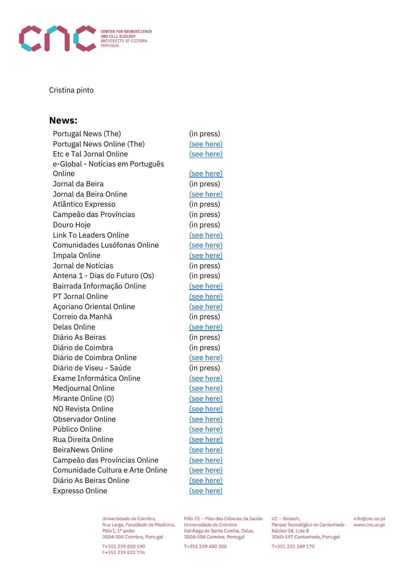

## Cristina pinto

## **News:**

Portugal News (The) (in press) Portugal News Online (The) [\(see here\)](https://www.theportugalnews.com/news/2021-12-14/12-million-to-investigate-autism/64133) Etc e Tal Jornal Online [\(see here\)](https://etcetaljornal.pt/j/2022/01/universidade-de-coimbra-conquista-12-milhoes-de-euros-para-estudar-o-autismo/) e-Global - Notícias em Português Online [\(see here\)](https://e-global.pt/noticia/vida/universidade-de-coimbra-conquista-12-milhoes-de-euros-para-estudar-o-autismo/) Jornal da Beira (in press) Jornal da Beira Online [\(see here\)](https://www.jornaldabeira.net/universidade-de-coimbra-conquista-12-milhoes-de-euros-para-estudar-o-autismo/) Atlântico Expresso (in press) Campeão das Províncias (in press) Douro Hoje (in press) Link To Leaders Online [\(see here\)](https://linktoleaders.com/universidade-de-coimbra-tem-12-milhoes-de-euros-para-estudar-o-autismo/) Comunidades Lusófonas Online [\(see here\)](https://comunidadeslusofonas.pt/33340-2/) Impala Online [\(see here\)](https://www.impala.pt/noticias/universidade-de-coimbra-recebe-12-milhoes-de-euros-para-estudar-autismo/) Jornal de Notícias (in press) Antena 1 - Dias do Futuro (Os) (in press) Bairrada Informação Online [\(see here\)](https://www.bairradainformacao.pt/2021/12/10/universidade-de-coimbra-conquista-12-milhoes-de-euros-para-estudar-o-autismo/) PT Jornal Online [\(see here\)](https://ptjornal.com/universidade-de-coimbra-conquista-12-milhoes-de-euros-para-estudar-o-autismo-540506) Açoriano Oriental Online [\(see here\)](https://www.acorianooriental.pt/noticia/universidade-de-coimbra-com-1-2-milhoes-de-euros-para-estudar-autismo-332915) Correio da Manhã (in press) Delas Online [\(see here\)](https://www.delas.pt/coimbra-vai-liderar-estudo-sobre-autismo-em-consorcio-internacional/atualidade/923868/) Diário As Beiras (in press) Diário de Coimbra (in press) Diário de Coimbra Online [\(see here\)](https://www.diariocoimbra.pt/noticia/77330) Diário de Viseu - Saúde (in press) Exame Informática Online [\(see here\)](https://visao.sapo.pt/exameinformatica/noticias-ei/ciencia-ei/2021-12-09-universidade-de-coimbra-recebe-12-milhoes-de-euros-para-estudar-mutacao-causadora-de-autismo/) Medjournal Online [\(see here\)](https://www.medjournal.pt/pt/noticias-saude-humana/ultimas-noticias/universidade-de-coimbra-conquista-12-milhoes-de-euros-para-estudar-o-autismo/) Mirante Online (O) [\(see here\)](https://omirante.pt/sociedade/2021-12-09-Universidade-de-Coimbra-com-12-milhoes-de-euros-para-estudar-autismo-654a4e30) NO Revista Online [\(see here\)](https://norevista.pt/2021/12/09/universidade-de-coimbra-conquista-12-milhoes-de-euros-para-estudar-o-autismo/) Observador Online [\(see here\)](https://observador.pt/2021/12/08/universidade-de-coimbra-com-12-milhoes-de-euros-para-estudar-autismo/) Público Online [\(see here\)](https://www.publico.pt/2021/12/09/ciencia/noticia/universidade-coimbra-12-milhoes-euros-estudar-autismo-1987992) Rua Direita Online [\(see here\)](https://www.ruadireita.pt/ultima-hora/universidade-de-coimbra-conquista-12-milhoes-de-euros-para-estudar-o-autismo-38252.html) BeiraNews Online [\(see here\)](https://beiranews.pt/2021/12/08/universidade-de-coimbra-conquista-12-milhoes-de-euros-para-estudar-o-autismo/) Campeão das Províncias Online [\(see here\)](https://www.campeaoprovincias.pt/noticia/universidade-de-coimbra-com-12-milhoes-de-euros-para-estudar-autismo) Comunidade Cultura e Arte Online [\(see here\)](https://comunidadeculturaearte.com/universidade-de-coimbra-conquista-12-milhoes-de-euros-para-estudar-o-autismo/) Diário As Beiras Online [\(see here\)](https://www.asbeiras.pt/2021/12/universidade-de-coimbra-com-12-milhoes-de-euros-para-estudar-autismo/) Expresso Online [\(see here\)](https://expresso.pt/sociedade/2021-12-08-Universidade-de-Coimbra-com-12-milhoes-de-euros-para-estudar-autismo-27961065)

Universidade de Coimbra Rua Larga, Faculdade de Medicina, Pólo I. 1º andar 3004-504 Coimbra, Portugal

T+351 239 820 190 F+351 239 822 776

Pólo III - Pólo das Ciências da Saúde Universidade de Coimbra Azinhaga de Santa Comba, Celas. 3004-504 Coimbra, Portugal

T+351 239 480 200

UC - Biotech. Parque Tecnológico de Cantanhede Núcleo 04, Lote 8 3060-197 Cantanhede, Portugal

info@cnc.uc.pt www.cnc.uc.pt